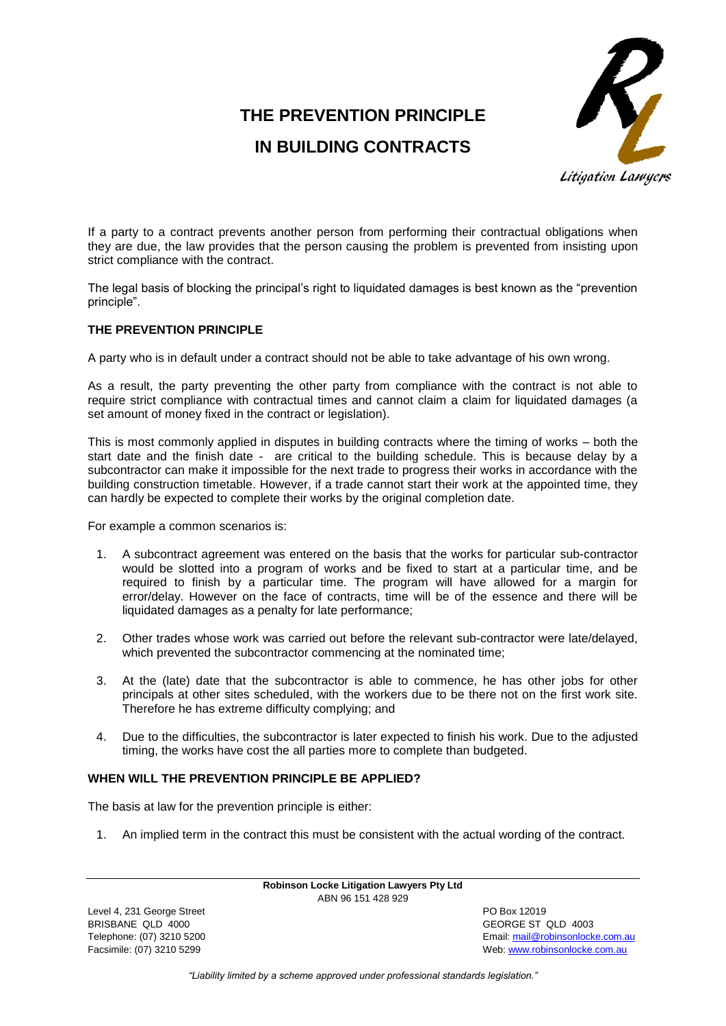# **THE PREVENTION PRINCIPLE IN BUILDING CONTRACTS**



If a party to a contract prevents another person from performing their contractual obligations when they are due, the law provides that the person causing the problem is prevented from insisting upon strict compliance with the contract.

The legal basis of blocking the principal's right to liquidated damages is best known as the "prevention principle".

## **THE PREVENTION PRINCIPLE**

A party who is in default under a contract should not be able to take advantage of his own wrong.

As a result, the party preventing the other party from compliance with the contract is not able to require strict compliance with contractual times and cannot claim a claim for liquidated damages (a set amount of money fixed in the contract or legislation).

This is most commonly applied in disputes in building contracts where the timing of works – both the start date and the finish date - are critical to the building schedule. This is because delay by a subcontractor can make it impossible for the next trade to progress their works in accordance with the building construction timetable. However, if a trade cannot start their work at the appointed time, they can hardly be expected to complete their works by the original completion date.

For example a common scenarios is:

- 1. A subcontract agreement was entered on the basis that the works for particular sub-contractor would be slotted into a program of works and be fixed to start at a particular time, and be required to finish by a particular time. The program will have allowed for a margin for error/delay. However on the face of contracts, time will be of the essence and there will be liquidated damages as a penalty for late performance;
- 2. Other trades whose work was carried out before the relevant sub-contractor were late/delayed, which prevented the subcontractor commencing at the nominated time;
- 3. At the (late) date that the subcontractor is able to commence, he has other jobs for other principals at other sites scheduled, with the workers due to be there not on the first work site. Therefore he has extreme difficulty complying; and
- 4. Due to the difficulties, the subcontractor is later expected to finish his work. Due to the adjusted timing, the works have cost the all parties more to complete than budgeted.

## **WHEN WILL THE PREVENTION PRINCIPLE BE APPLIED?**

The basis at law for the prevention principle is either:

1. An implied term in the contract this must be consistent with the actual wording of the contract.

**Robinson Locke Litigation Lawyers Pty Ltd** ABN 96 151 428 929

Level 4, 231 George Street **PO Box 12019** BRISBANE QLD 4000 GEORGE ST QLD 4003

Telephone: (07) 3210 5200 Email[: mail@robinsonlocke.com.au](mailto:mail@robinsonlocke.com.au) Facsimile: (07) 3210 5299 Web: [www.robinsonlocke.com.au](http://www.robinsonlocke.com.au/)

*"Liability limited by a scheme approved under professional standards legislation."*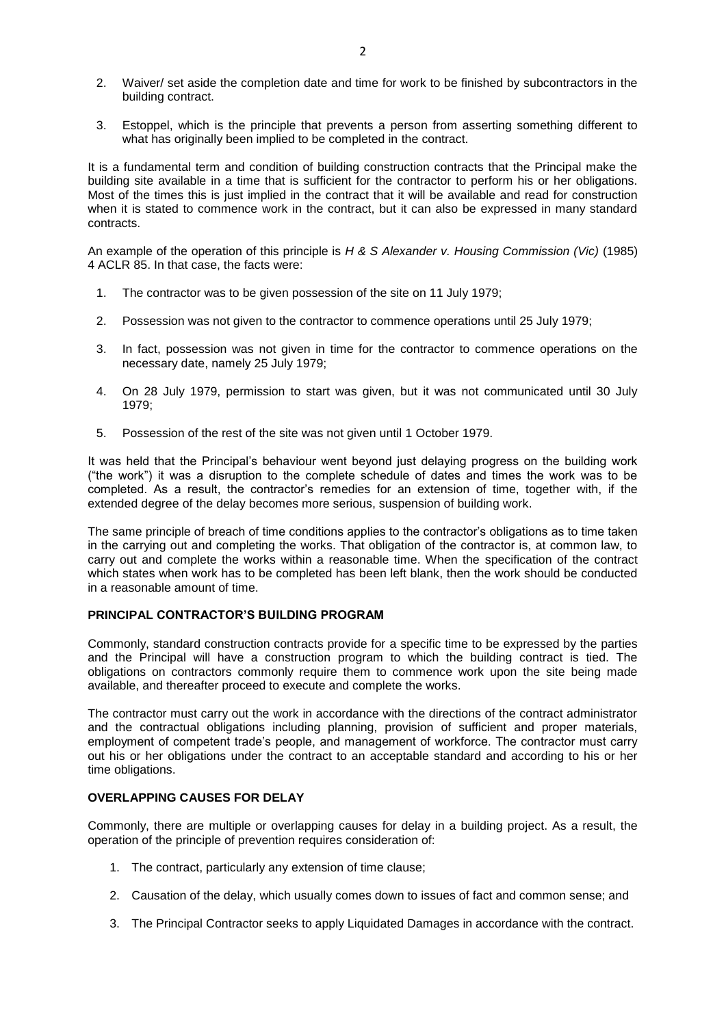- 2. Waiver/ set aside the completion date and time for work to be finished by subcontractors in the building contract.
- 3. Estoppel, which is the principle that prevents a person from asserting something different to what has originally been implied to be completed in the contract.

It is a fundamental term and condition of building construction contracts that the Principal make the building site available in a time that is sufficient for the contractor to perform his or her obligations. Most of the times this is just implied in the contract that it will be available and read for construction when it is stated to commence work in the contract, but it can also be expressed in many standard contracts.

An example of the operation of this principle is *H & S Alexander v. Housing Commission (Vic)* (1985) 4 ACLR 85. In that case, the facts were:

- 1. The contractor was to be given possession of the site on 11 July 1979;
- 2. Possession was not given to the contractor to commence operations until 25 July 1979;
- 3. In fact, possession was not given in time for the contractor to commence operations on the necessary date, namely 25 July 1979;
- 4. On 28 July 1979, permission to start was given, but it was not communicated until 30 July 1979;
- 5. Possession of the rest of the site was not given until 1 October 1979.

It was held that the Principal's behaviour went beyond just delaying progress on the building work ("the work") it was a disruption to the complete schedule of dates and times the work was to be completed. As a result, the contractor's remedies for an extension of time, together with, if the extended degree of the delay becomes more serious, suspension of building work.

The same principle of breach of time conditions applies to the contractor's obligations as to time taken in the carrying out and completing the works. That obligation of the contractor is, at common law, to carry out and complete the works within a reasonable time. When the specification of the contract which states when work has to be completed has been left blank, then the work should be conducted in a reasonable amount of time.

#### **PRINCIPAL CONTRACTOR'S BUILDING PROGRAM**

Commonly, standard construction contracts provide for a specific time to be expressed by the parties and the Principal will have a construction program to which the building contract is tied. The obligations on contractors commonly require them to commence work upon the site being made available, and thereafter proceed to execute and complete the works.

The contractor must carry out the work in accordance with the directions of the contract administrator and the contractual obligations including planning, provision of sufficient and proper materials, employment of competent trade's people, and management of workforce. The contractor must carry out his or her obligations under the contract to an acceptable standard and according to his or her time obligations.

#### **OVERLAPPING CAUSES FOR DELAY**

Commonly, there are multiple or overlapping causes for delay in a building project. As a result, the operation of the principle of prevention requires consideration of:

- 1. The contract, particularly any extension of time clause;
- 2. Causation of the delay, which usually comes down to issues of fact and common sense; and
- 3. The Principal Contractor seeks to apply Liquidated Damages in accordance with the contract.